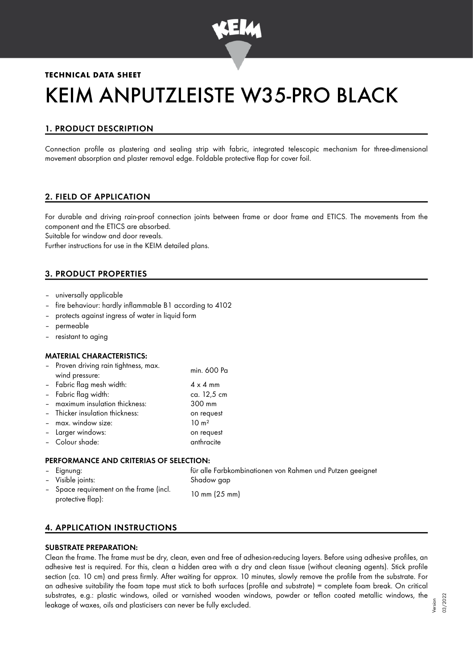

# **TECHNICAL DATA SHEET**

# KEIM ANPUTZLEISTE W35-PRO BLACK

# 1. PRODUCT DESCRIPTION

Connection profile as plastering and sealing strip with fabric, integrated telescopic mechanism for three-dimensional movement absorption and plaster removal edge. Foldable protective flap for cover foil.

# 2. FIELD OF APPLICATION

For durable and driving rain-proof connection joints between frame or door frame and ETICS. The movements from the component and the ETICS are absorbed.

Suitable for window and door reveals.

Further instructions for use in the KEIM detailed plans.

# 3. PRODUCT PROPERTIES

- universally applicable
- fire behaviour: hardly inflammable B1 according to 4102
- protects against ingress of water in liquid form
- permeable
- resistant to aging

#### MATERIAL CHARACTERISTICS:

| - Proven driving rain tightness, max.<br>wind pressure: | min. 600 Pa       |
|---------------------------------------------------------|-------------------|
| - Fabric flag mesh width:                               | $4 \times 4$ mm   |
| - Fabric flag width:                                    | ca. 12,5 cm       |
| - maximum insulation thickness:                         | 300 mm            |
| - Thicker insulation thickness:                         | on request        |
| - max. window size:                                     | 10 m <sup>2</sup> |
| - Larger windows:                                       | on request        |
| - Colour shade:                                         | anthracite        |
|                                                         |                   |

#### PERFORMANCE AND CRITERIAS OF SELECTION:

| – Eignung:                                                   | für alle Farbkombinationen von Rahmen und Putzen geeignet |
|--------------------------------------------------------------|-----------------------------------------------------------|
| - Visible joints:                                            | Shadow gap                                                |
| - Space requirement on the frame (incl.<br>protective flap): | $10 \text{ mm} (25 \text{ mm})$                           |

# 4. APPLICATION INSTRUCTIONS

#### SUBSTRATE PREPARATION:

Clean the frame. The frame must be dry, clean, even and free of adhesion-reducing layers. Before using adhesive profiles, an adhesive test is required. For this, clean a hidden area with a dry and clean tissue (without cleaning agents). Stick profile section (ca. 10 cm) and press firmly. After waiting for approx. 10 minutes, slowly remove the profile from the substrate. For an adhesive suitability the foam tape must stick to both surfaces (profile and substrate) = complete foam break. On critical substrates, e.g.: plastic windows, oiled or varnished wooden windows, powder or teflon coated metallic windows, the leakage of waxes, oils and plasticisers can never be fully excluded.

Version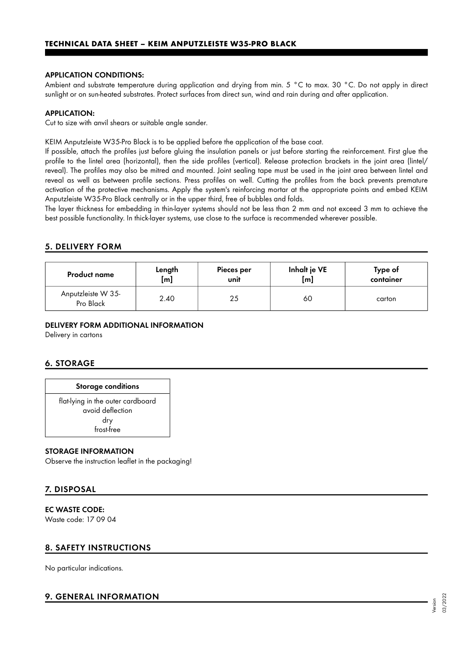#### APPLICATION CONDITIONS:

Ambient and substrate temperature during application and drying from min. 5 °C to max. 30 °C. Do not apply in direct sunlight or on sun-heated substrates. Protect surfaces from direct sun, wind and rain during and after application.

#### APPLICATION:

Cut to size with anvil shears or suitable angle sander.

KEIM Anputzleiste W35-Pro Black is to be applied before the application of the base coat.

If possible, attach the profiles just before gluing the insulation panels or just before starting the reinforcement. First glue the profile to the lintel area (horizontal), then the side profiles (vertical). Release protection brackets in the joint area (lintel/ reveal). The profiles may also be mitred and mounted. Joint sealing tape must be used in the joint area between lintel and reveal as well as between profile sections. Press profiles on well. Cutting the profiles from the back prevents premature activation of the protective mechanisms. Apply the system's reinforcing mortar at the appropriate points and embed KEIM Anputzleiste W35-Pro Black centrally or in the upper third, free of bubbles and folds.

The layer thickness for embedding in thin-layer systems should not be less than 2 mm and not exceed 3 mm to achieve the best possible functionality. In thick-layer systems, use close to the surface is recommended wherever possible.

#### 5. DELIVERY FORM

| <b>Product name</b>             | Length      | Pieces per | Inhalt je VE | Type of   |
|---------------------------------|-------------|------------|--------------|-----------|
|                                 | $[{\sf m}]$ | unit       | [m]          | container |
| Anputzleiste W 35-<br>Pro Black | 2.40        | 25         | 60           | carton    |

#### DELIVERY FORM ADDITIONAL INFORMATION

Delivery in cartons

# 6. STORAGE

#### Storage conditions

flat-lying in the outer cardboard avoid deflection dry frost-free

#### STORAGE INFORMATION

Observe the instruction leaflet in the packaging!

# 7. DISPOSAL

#### EC WASTE CODE:

Waste code: 17 09 04

# 8. SAFETY INSTRUCTIONS

No particular indications.

# 9. GENERAL INFORMATION

Version 03/2022